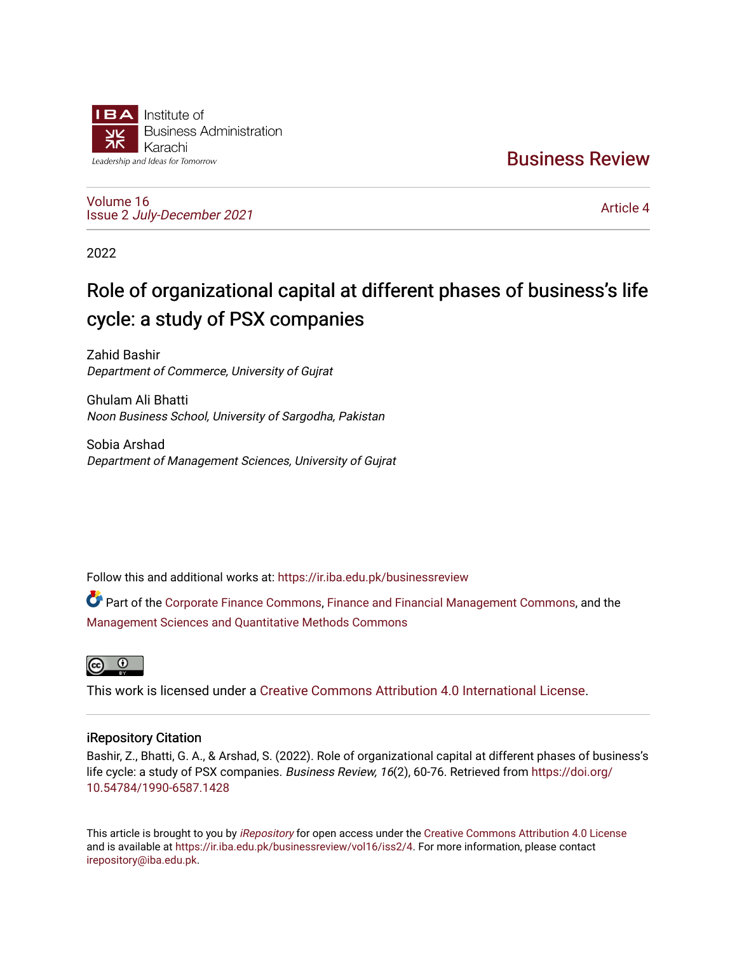

[Business Review](https://ir.iba.edu.pk/businessreview) 

[Volume 16](https://ir.iba.edu.pk/businessreview/vol16) Issue 2 [July-December 2021](https://ir.iba.edu.pk/businessreview/vol16/iss2)

[Article 4](https://ir.iba.edu.pk/businessreview/vol16/iss2/4) 

2022

# Role of organizational capital at different phases of business's life cycle: a study of PSX companies

Zahid Bashir Department of Commerce, University of Gujrat

Ghulam Ali Bhatti Noon Business School, University of Sargodha, Pakistan

Sobia Arshad Department of Management Sciences, University of Gujrat

Follow this and additional works at: [https://ir.iba.edu.pk/businessreview](https://ir.iba.edu.pk/businessreview?utm_source=ir.iba.edu.pk%2Fbusinessreview%2Fvol16%2Fiss2%2F4&utm_medium=PDF&utm_campaign=PDFCoverPages) 

Part of the [Corporate Finance Commons](http://network.bepress.com/hgg/discipline/629?utm_source=ir.iba.edu.pk%2Fbusinessreview%2Fvol16%2Fiss2%2F4&utm_medium=PDF&utm_campaign=PDFCoverPages), [Finance and Financial Management Commons](http://network.bepress.com/hgg/discipline/631?utm_source=ir.iba.edu.pk%2Fbusinessreview%2Fvol16%2Fiss2%2F4&utm_medium=PDF&utm_campaign=PDFCoverPages), and the [Management Sciences and Quantitative Methods Commons](http://network.bepress.com/hgg/discipline/637?utm_source=ir.iba.edu.pk%2Fbusinessreview%2Fvol16%2Fiss2%2F4&utm_medium=PDF&utm_campaign=PDFCoverPages) 



This work is licensed under a [Creative Commons Attribution 4.0 International License](https://creativecommons.org/licenses/by/4.0/).

# iRepository Citation

Bashir, Z., Bhatti, G. A., & Arshad, S. (2022). Role of organizational capital at different phases of business's life cycle: a study of PSX companies. Business Review, 16(2), 60-76. Retrieved from [https://doi.org/](https://doi.org/10.54784/1990-6587.1428) [10.54784/1990-6587.1428](https://doi.org/10.54784/1990-6587.1428) 

This article is brought to you by *[iRepository](https://ir.iba.edu.pk/)* for open access under the Creative Commons Attribution 4.0 License and is available at [https://ir.iba.edu.pk/businessreview/vol16/iss2/4.](https://ir.iba.edu.pk/businessreview/vol16/iss2/4) For more information, please contact [irepository@iba.edu.pk.](mailto:irepository@iba.edu.pk)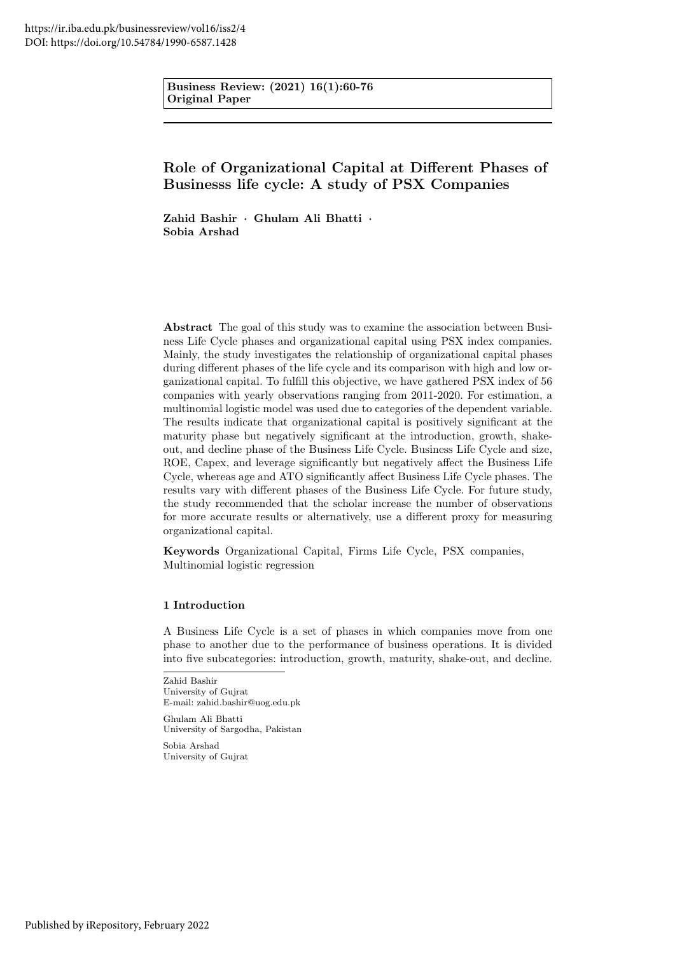Business Review: (2021) 16(1):60-76 Original Paper

# Role of Organizational Capital at Different Phases of Businesss life cycle: A study of PSX Companies

Zahid Bashir · Ghulam Ali Bhatti · Sobia Arshad

Abstract The goal of this study was to examine the association between Business Life Cycle phases and organizational capital using PSX index companies. Mainly, the study investigates the relationship of organizational capital phases during different phases of the life cycle and its comparison with high and low organizational capital. To fulfill this objective, we have gathered PSX index of 56 companies with yearly observations ranging from 2011-2020. For estimation, a multinomial logistic model was used due to categories of the dependent variable. The results indicate that organizational capital is positively significant at the maturity phase but negatively significant at the introduction, growth, shakeout, and decline phase of the Business Life Cycle. Business Life Cycle and size, ROE, Capex, and leverage significantly but negatively affect the Business Life Cycle, whereas age and ATO significantly affect Business Life Cycle phases. The results vary with different phases of the Business Life Cycle. For future study, the study recommended that the scholar increase the number of observations for more accurate results or alternatively, use a different proxy for measuring organizational capital.

Keywords Organizational Capital, Firms Life Cycle, PSX companies, Multinomial logistic regression

# 1 Introduction

A Business Life Cycle is a set of phases in which companies move from one phase to another due to the performance of business operations. It is divided into five subcategories: introduction, growth, maturity, shake-out, and decline.

Zahid Bashir University of Gujrat E-mail: zahid.bashir@uog.edu.pk

Ghulam Ali Bhatti University of Sargodha, Pakistan

Sobia Arshad University of Gujrat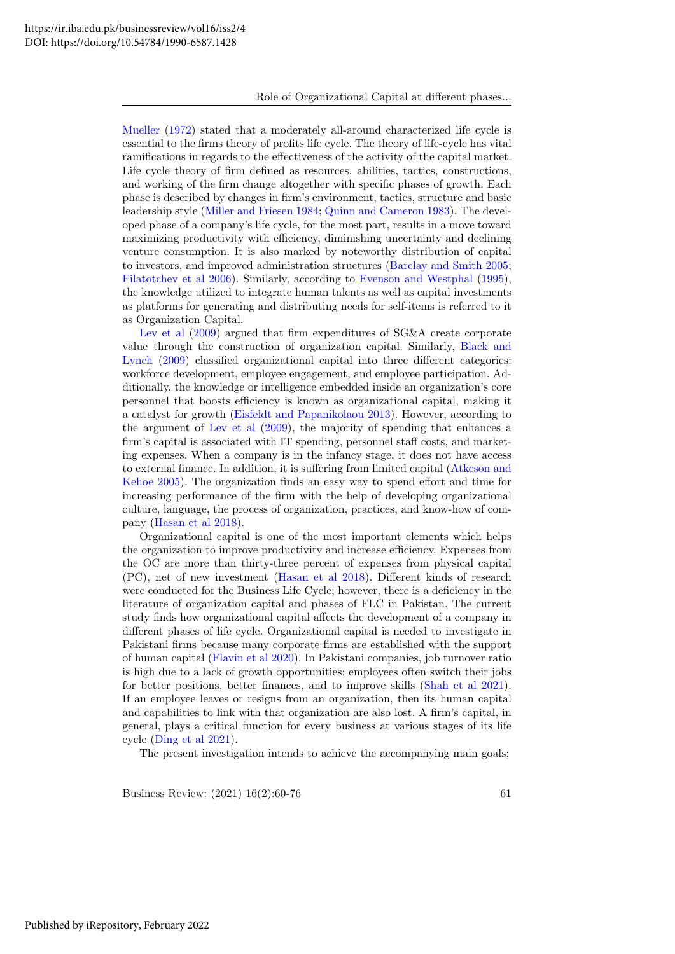[Mueller](#page-17-0) [\(1972\)](#page-17-0) stated that a moderately all-around characterized life cycle is essential to the firms theory of profits life cycle. The theory of life-cycle has vital ramifications in regards to the effectiveness of the activity of the capital market. Life cycle theory of firm defined as resources, abilities, tactics, constructions, and working of the firm change altogether with specific phases of growth. Each phase is described by changes in firm's environment, tactics, structure and basic leadership style [\(Miller and Friesen 1984;](#page-17-1) [Quinn and Cameron 1983\)](#page-17-2). The developed phase of a company's life cycle, for the most part, results in a move toward maximizing productivity with efficiency, diminishing uncertainty and declining venture consumption. It is also marked by noteworthy distribution of capital to investors, and improved administration structures [\(Barclay and Smith 2005;](#page-16-0) [Filatotchev et al 2006\)](#page-16-1). Similarly, according to [Evenson and Westphal](#page-16-2) [\(1995\)](#page-16-2), the knowledge utilized to integrate human talents as well as capital investments as platforms for generating and distributing needs for self-items is referred to it as Organization Capital.

[Lev et al](#page-16-3)  $(2009)$  argued that firm expenditures of SG&A create corporate value through the construction of organization capital. Similarly, [Black and](#page-16-4) [Lynch](#page-16-4) [\(2009\)](#page-16-4) classified organizational capital into three different categories: workforce development, employee engagement, and employee participation. Additionally, the knowledge or intelligence embedded inside an organization's core personnel that boosts efficiency is known as organizational capital, making it a catalyst for growth [\(Eisfeldt and Papanikolaou 2013\)](#page-16-5). However, according to the argument of [Lev et al](#page-16-3) [\(2009\)](#page-16-3), the majority of spending that enhances a firm's capital is associated with IT spending, personnel staff costs, and marketing expenses. When a company is in the infancy stage, it does not have access to external finance. In addition, it is suffering from limited capital [\(Atkeson and](#page-16-6) [Kehoe 2005\)](#page-16-6). The organization finds an easy way to spend effort and time for increasing performance of the firm with the help of developing organizational culture, language, the process of organization, practices, and know-how of company [\(Hasan et al 2018\)](#page-16-7).

Organizational capital is one of the most important elements which helps the organization to improve productivity and increase efficiency. Expenses from the OC are more than thirty-three percent of expenses from physical capital (PC), net of new investment [\(Hasan et al 2018\)](#page-16-7). Different kinds of research were conducted for the Business Life Cycle; however, there is a deficiency in the literature of organization capital and phases of FLC in Pakistan. The current study finds how organizational capital affects the development of a company in different phases of life cycle. Organizational capital is needed to investigate in Pakistani firms because many corporate firms are established with the support of human capital [\(Flavin et al 2020\)](#page-16-8). In Pakistani companies, job turnover ratio is high due to a lack of growth opportunities; employees often switch their jobs for better positions, better finances, and to improve skills [\(Shah et al 2021\)](#page-17-3). If an employee leaves or resigns from an organization, then its human capital and capabilities to link with that organization are also lost. A firm's capital, in general, plays a critical function for every business at various stages of its life cycle [\(Ding et al 2021\)](#page-16-9).

The present investigation intends to achieve the accompanying main goals;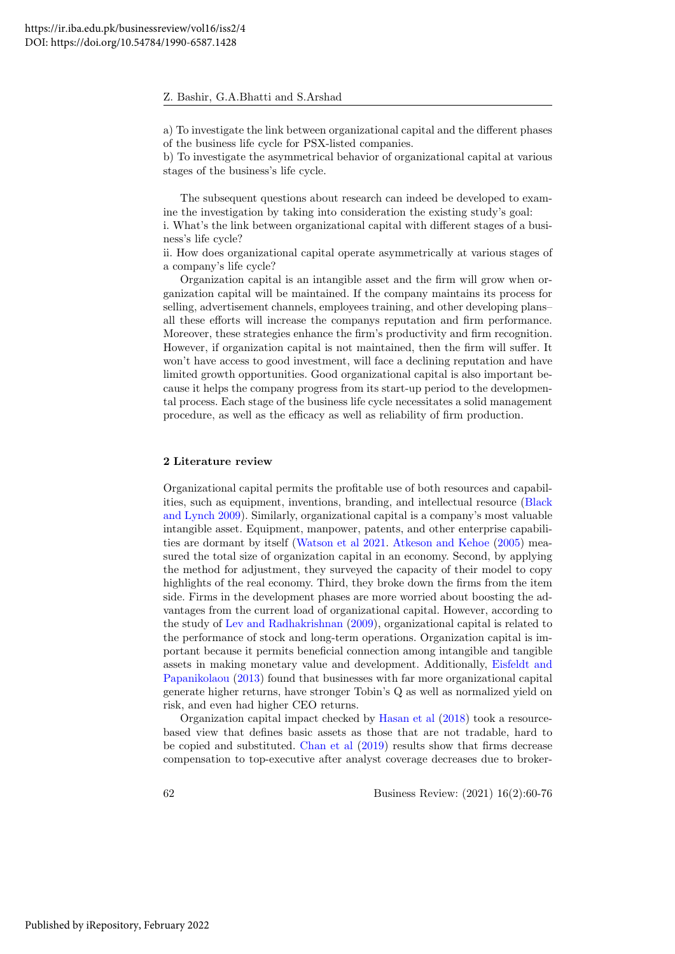a) To investigate the link between organizational capital and the different phases of the business life cycle for PSX-listed companies.

b) To investigate the asymmetrical behavior of organizational capital at various stages of the business's life cycle.

The subsequent questions about research can indeed be developed to examine the investigation by taking into consideration the existing study's goal: i. What's the link between organizational capital with different stages of a business's life cycle?

ii. How does organizational capital operate asymmetrically at various stages of a company's life cycle?

Organization capital is an intangible asset and the firm will grow when organization capital will be maintained. If the company maintains its process for selling, advertisement channels, employees training, and other developing plans– all these efforts will increase the companys reputation and firm performance. Moreover, these strategies enhance the firm's productivity and firm recognition. However, if organization capital is not maintained, then the firm will suffer. It won't have access to good investment, will face a declining reputation and have limited growth opportunities. Good organizational capital is also important because it helps the company progress from its start-up period to the developmental process. Each stage of the business life cycle necessitates a solid management procedure, as well as the efficacy as well as reliability of firm production.

#### 2 Literature review

Organizational capital permits the profitable use of both resources and capabilities, such as equipment, inventions, branding, and intellectual resource [\(Black](#page-16-4) [and Lynch 2009\)](#page-16-4). Similarly, organizational capital is a company's most valuable intangible asset. Equipment, manpower, patents, and other enterprise capabilities are dormant by itself [\(Watson et al 2021.](#page-17-4) [Atkeson and Kehoe](#page-16-6) [\(2005\)](#page-16-6) measured the total size of organization capital in an economy. Second, by applying the method for adjustment, they surveyed the capacity of their model to copy highlights of the real economy. Third, they broke down the firms from the item side. Firms in the development phases are more worried about boosting the advantages from the current load of organizational capital. However, according to the study of [Lev and Radhakrishnan](#page-16-10) [\(2009\)](#page-16-10), organizational capital is related to the performance of stock and long-term operations. Organization capital is important because it permits beneficial connection among intangible and tangible assets in making monetary value and development. Additionally, [Eisfeldt and](#page-16-5) [Papanikolaou](#page-16-5) [\(2013\)](#page-16-5) found that businesses with far more organizational capital generate higher returns, have stronger Tobin's Q as well as normalized yield on risk, and even had higher CEO returns.

Organization capital impact checked by [Hasan et al](#page-16-7) [\(2018\)](#page-16-7) took a resourcebased view that defines basic assets as those that are not tradable, hard to be copied and substituted. [Chan et al](#page-16-11) [\(2019\)](#page-16-11) results show that firms decrease compensation to top-executive after analyst coverage decreases due to broker-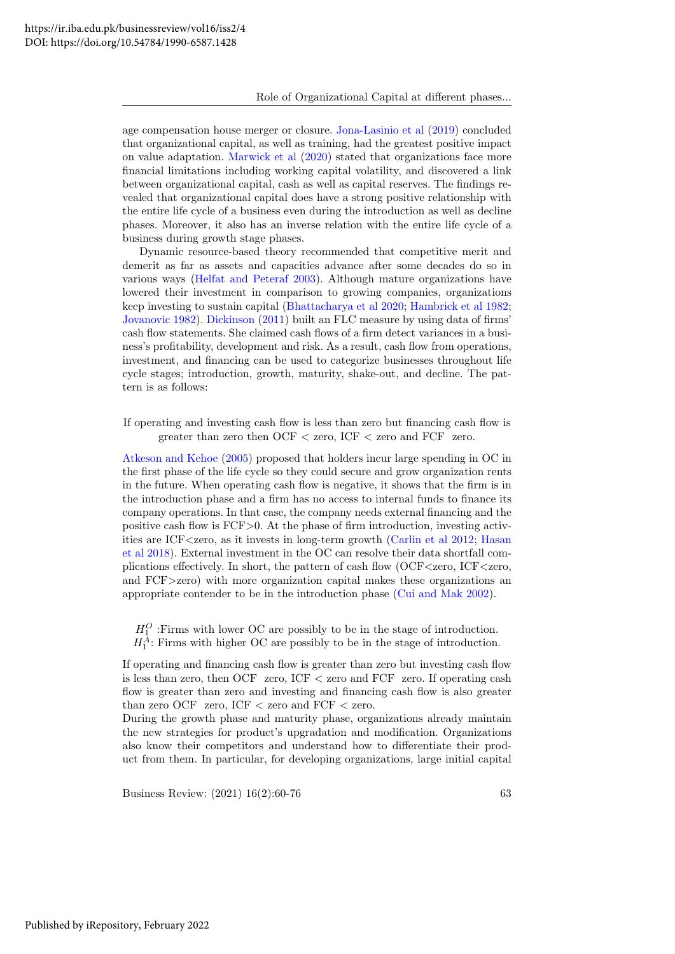age compensation house merger or closure. [Jona-Lasinio et al](#page-16-12) [\(2019\)](#page-16-12) concluded that organizational capital, as well as training, had the greatest positive impact on value adaptation. [Marwick et al](#page-17-5) [\(2020\)](#page-17-5) stated that organizations face more financial limitations including working capital volatility, and discovered a link between organizational capital, cash as well as capital reserves. The findings revealed that organizational capital does have a strong positive relationship with the entire life cycle of a business even during the introduction as well as decline phases. Moreover, it also has an inverse relation with the entire life cycle of a business during growth stage phases.

Dynamic resource-based theory recommended that competitive merit and demerit as far as assets and capacities advance after some decades do so in various ways [\(Helfat and Peteraf 2003\)](#page-16-13). Although mature organizations have lowered their investment in comparison to growing companies, organizations keep investing to sustain capital [\(Bhattacharya et al 2020;](#page-16-14) [Hambrick et al 1982;](#page-16-15) [Jovanovic 1982\)](#page-16-16). [Dickinson](#page-16-17) [\(2011\)](#page-16-17) built an FLC measure by using data of firms' cash flow statements. She claimed cash flows of a firm detect variances in a business's profitability, development and risk. As a result, cash flow from operations, investment, and financing can be used to categorize businesses throughout life cycle stages; introduction, growth, maturity, shake-out, and decline. The pattern is as follows:

If operating and investing cash flow is less than zero but financing cash flow is greater than zero then OCF < zero, ICF < zero and FCF zero.

[Atkeson and Kehoe](#page-16-6) [\(2005\)](#page-16-6) proposed that holders incur large spending in OC in the first phase of the life cycle so they could secure and grow organization rents in the future. When operating cash flow is negative, it shows that the firm is in the introduction phase and a firm has no access to internal funds to finance its company operations. In that case, the company needs external financing and the positive cash flow is FCF>0. At the phase of firm introduction, investing activities are ICF<zero, as it invests in long-term growth [\(Carlin et al 2012;](#page-16-18) [Hasan](#page-16-7) [et al 2018\)](#page-16-7). External investment in the OC can resolve their data shortfall complications effectively. In short, the pattern of cash flow (OCF<zero, ICF<zero, and FCF>zero) with more organization capital makes these organizations an appropriate contender to be in the introduction phase [\(Cui and Mak 2002\)](#page-16-19).

 $H_1^O$ : Firms with lower OC are possibly to be in the stage of introduction.  $H_1^A$ : Firms with higher OC are possibly to be in the stage of introduction.

If operating and financing cash flow is greater than zero but investing cash flow is less than zero, then OCF zero, ICF < zero and FCF zero. If operating cash flow is greater than zero and investing and financing cash flow is also greater than zero OCF zero, ICF < zero and FCF < zero.

During the growth phase and maturity phase, organizations already maintain the new strategies for product's upgradation and modification. Organizations also know their competitors and understand how to differentiate their product from them. In particular, for developing organizations, large initial capital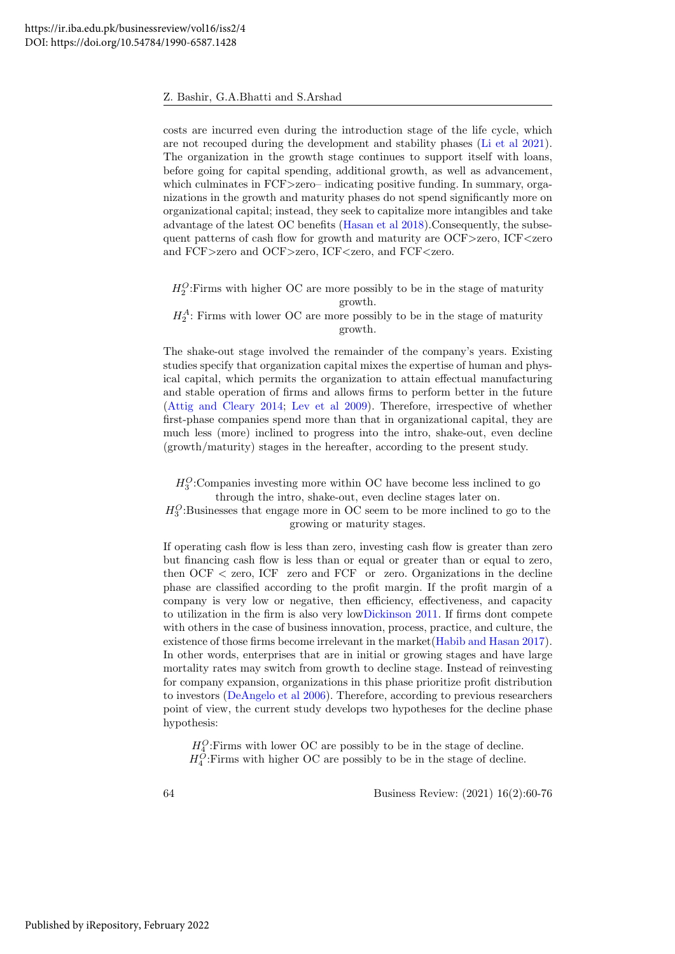costs are incurred even during the introduction stage of the life cycle, which are not recouped during the development and stability phases [\(Li et al 2021\)](#page-17-6). The organization in the growth stage continues to support itself with loans, before going for capital spending, additional growth, as well as advancement, which culminates in FCF>zero– indicating positive funding. In summary, organizations in the growth and maturity phases do not spend significantly more on organizational capital; instead, they seek to capitalize more intangibles and take advantage of the latest OC benefits [\(Hasan et al 2018\)](#page-16-7).Consequently, the subsequent patterns of cash flow for growth and maturity are OCF>zero, ICF<zero and FCF>zero and OCF>zero, ICF<zero, and FCF<zero.

 $H_2^O$ : Firms with higher OC are more possibly to be in the stage of maturity growth.

 $H_2^A$ : Firms with lower OC are more possibly to be in the stage of maturity growth.

The shake-out stage involved the remainder of the company's years. Existing studies specify that organization capital mixes the expertise of human and physical capital, which permits the organization to attain effectual manufacturing and stable operation of firms and allows firms to perform better in the future [\(Attig and Cleary 2014;](#page-16-20) [Lev et al 2009\)](#page-16-3). Therefore, irrespective of whether first-phase companies spend more than that in organizational capital, they are much less (more) inclined to progress into the intro, shake-out, even decline (growth/maturity) stages in the hereafter, according to the present study.

 $H_3^O$ : Companies investing more within OC have become less inclined to go through the intro, shake-out, even decline stages later on.

 $H_3^O$ :Businesses that engage more in OC seem to be more inclined to go to the growing or maturity stages.

If operating cash flow is less than zero, investing cash flow is greater than zero but financing cash flow is less than or equal or greater than or equal to zero, then OCF < zero, ICF zero and FCF or zero. Organizations in the decline phase are classified according to the profit margin. If the profit margin of a company is very low or negative, then efficiency, effectiveness, and capacity to utilization in the firm is also very lo[wDickinson 2011.](#page-16-17) If firms dont compete with others in the case of business innovation, process, practice, and culture, the existence of those firms become irrelevant in the market[\(Habib and Hasan 2017\)](#page-16-21). In other words, enterprises that are in initial or growing stages and have large mortality rates may switch from growth to decline stage. Instead of reinvesting for company expansion, organizations in this phase prioritize profit distribution to investors [\(DeAngelo et al 2006\)](#page-16-22). Therefore, according to previous researchers point of view, the current study develops two hypotheses for the decline phase hypothesis:

 $H_4^O$ : Firms with lower OC are possibly to be in the stage of decline.  $H_4^O$ : Firms with higher OC are possibly to be in the stage of decline.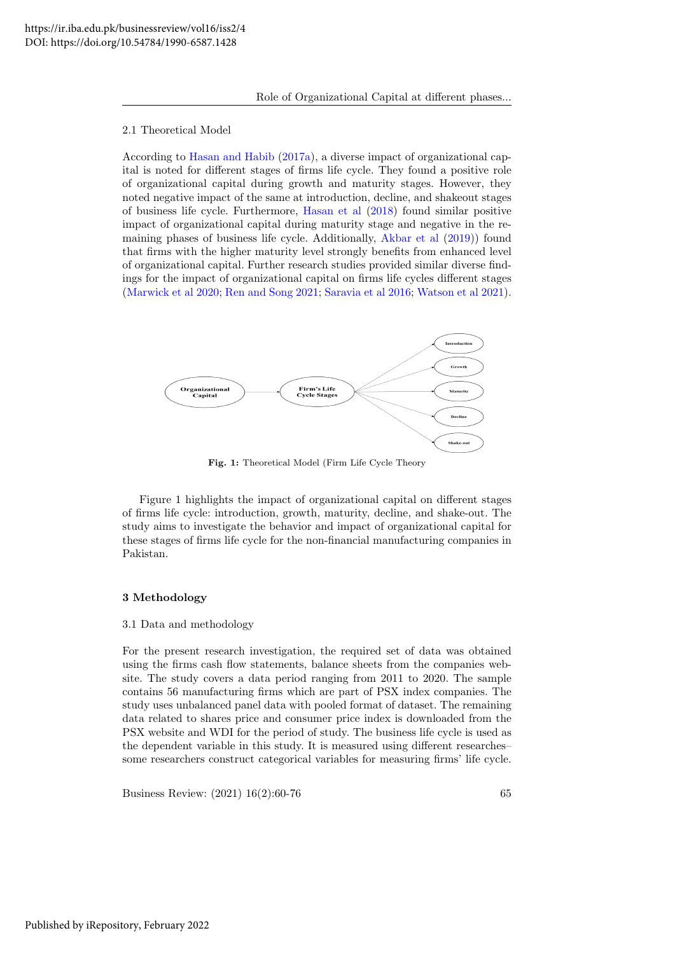#### 2.1 Theoretical Model

According to [Hasan and Habib](#page-16-23) [\(2017a\)](#page-16-23), a diverse impact of organizational capital is noted for different stages of firms life cycle. They found a positive role of organizational capital during growth and maturity stages. However, they noted negative impact of the same at introduction, decline, and shakeout stages of business life cycle. Furthermore, [Hasan et al](#page-16-7) [\(2018\)](#page-16-7) found similar positive impact of organizational capital during maturity stage and negative in the remaining phases of business life cycle. Additionally, [Akbar et al](#page-15-0) [\(2019\)](#page-15-0)) found that firms with the higher maturity level strongly benefits from enhanced level of organizational capital. Further research studies provided similar diverse findings for the impact of organizational capital on firms life cycles different stages [\(Marwick et al 2020;](#page-17-5) [Ren and Song 2021;](#page-17-7) [Saravia et al 2016;](#page-17-8) [Watson et al 2021\)](#page-17-4).



Fig. 1: Theoretical Model (Firm Life Cycle Theory

Figure 1 highlights the impact of organizational capital on different stages of firms life cycle: introduction, growth, maturity, decline, and shake-out. The study aims to investigate the behavior and impact of organizational capital for these stages of firms life cycle for the non-financial manufacturing companies in Pakistan.

#### 3 Methodology

### 3.1 Data and methodology

For the present research investigation, the required set of data was obtained using the firms cash flow statements, balance sheets from the companies website. The study covers a data period ranging from 2011 to 2020. The sample contains 56 manufacturing firms which are part of PSX index companies. The study uses unbalanced panel data with pooled format of dataset. The remaining data related to shares price and consumer price index is downloaded from the PSX website and WDI for the period of study. The business life cycle is used as the dependent variable in this study. It is measured using different researches– some researchers construct categorical variables for measuring firms' life cycle.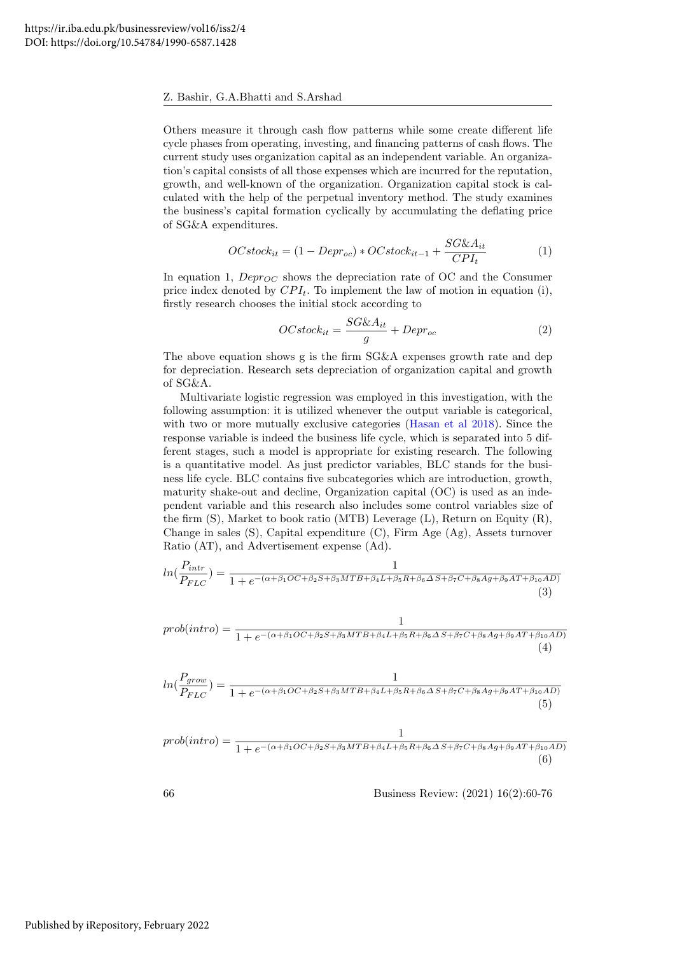Others measure it through cash flow patterns while some create different life cycle phases from operating, investing, and financing patterns of cash flows. The current study uses organization capital as an independent variable. An organization's capital consists of all those expenses which are incurred for the reputation, growth, and well-known of the organization. Organization capital stock is calculated with the help of the perpetual inventory method. The study examines the business's capital formation cyclically by accumulating the deflating price of SG&A expenditures.

$$
OCstock_{it} = (1 - Depr_{oc}) * OCstock_{it-1} + \frac{SG\&A_{it}}{CPI_t}
$$
 (1)

In equation 1,  $Depr_{OC}$  shows the depreciation rate of OC and the Consumer price index denoted by  $CPI_t$ . To implement the law of motion in equation (i), firstly research chooses the initial stock according to

$$
OCstock_{it} = \frac{SG\&A_{it}}{g} + Depr_{oc}
$$
 (2)

The above equation shows g is the firm SG&A expenses growth rate and dep for depreciation. Research sets depreciation of organization capital and growth of SG&A.

Multivariate logistic regression was employed in this investigation, with the following assumption: it is utilized whenever the output variable is categorical, with two or more mutually exclusive categories [\(Hasan et al 2018\)](#page-16-7). Since the response variable is indeed the business life cycle, which is separated into 5 different stages, such a model is appropriate for existing research. The following is a quantitative model. As just predictor variables, BLC stands for the business life cycle. BLC contains five subcategories which are introduction, growth, maturity shake-out and decline, Organization capital (OC) is used as an independent variable and this research also includes some control variables size of the firm (S), Market to book ratio (MTB) Leverage (L), Return on Equity (R), Change in sales (S), Capital expenditure (C), Firm Age (Ag), Assets turnover Ratio (AT), and Advertisement expense (Ad).

$$
ln(\frac{P_{intr}}{P_{FLC}}) = \frac{1}{1 + e^{-(\alpha + \beta_1 OC + \beta_2 S + \beta_3 MTB + \beta_4 L + \beta_5 R + \beta_6 \Delta S + \beta_7 C + \beta_8 Ag + \beta_9 AT + \beta_{10} AD)}}(3)
$$

$$
prob(intro) = \frac{1}{1 + e^{-(\alpha + \beta_1 OC + \beta_2 S + \beta_3 MTB + \beta_4 L + \beta_5 R + \beta_6 \Delta S + \beta_7 C + \beta_8 Ag + \beta_9 AT + \beta_{10} AD)}}(4)
$$
\n
$$
ln(\frac{P_{grow}}{P_{FLC}}) = \frac{1}{1 + e^{-(\alpha + \beta_1 OC + \beta_2 S + \beta_3 MTB + \beta_4 L + \beta_5 R + \beta_6 \Delta S + \beta_7 C + \beta_8 Ag + \beta_9 AT + \beta_{10} AD)}}(5)
$$
\n
$$
prob(intro) = \frac{1}{1 + e^{-(\alpha + \beta_1 OC + \beta_2 S + \beta_3 MTB + \beta_4 L + \beta_5 R + \beta_6 \Delta S + \beta_7 C + \beta_8 Ag + \beta_9 AT + \beta_{10} AD)}}(6)
$$
\n
$$
66
$$
\n
$$
Business Review: (2021) 16(2):60-76
$$

Published by iRepository, February 2022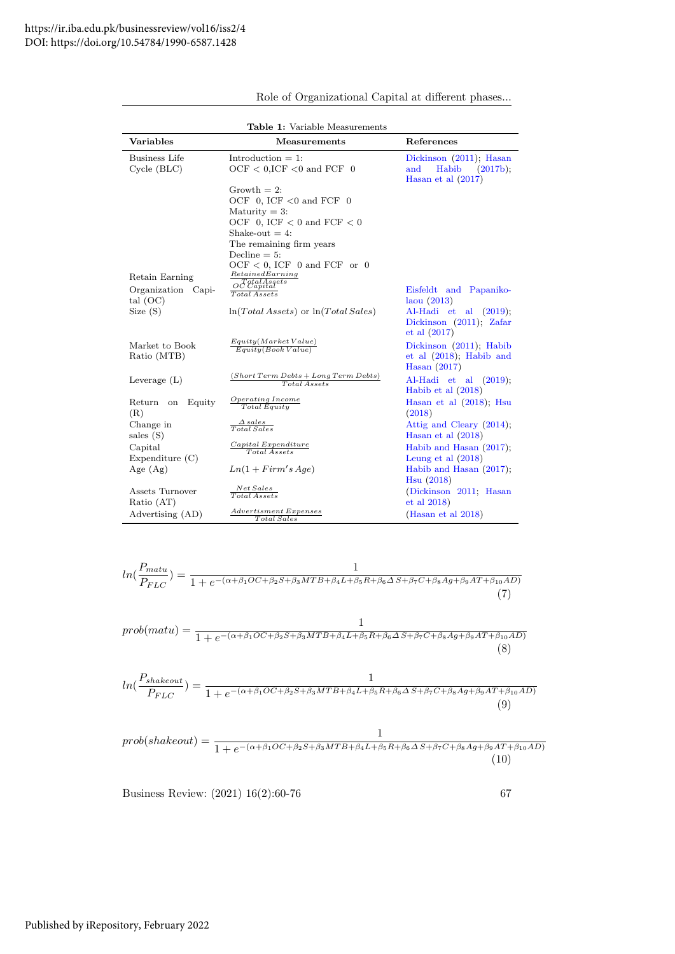| Table 1: Variable Measurements                                |                                                                                                                                                                                                                                                                                                                                                          |                                                                                                |  |  |  |  |  |  |
|---------------------------------------------------------------|----------------------------------------------------------------------------------------------------------------------------------------------------------------------------------------------------------------------------------------------------------------------------------------------------------------------------------------------------------|------------------------------------------------------------------------------------------------|--|--|--|--|--|--|
| <b>Variables</b>                                              | <b>Measurements</b>                                                                                                                                                                                                                                                                                                                                      | References                                                                                     |  |  |  |  |  |  |
| <b>Business Life</b><br>Cycle(BLC)                            | Introduction $= 1$ :<br>$OCF < 0$ , ICF $< 0$ and FCF 0                                                                                                                                                                                                                                                                                                  | Dickinson $(2011)$ ; Hasan<br>Habib<br>(2017b);<br>and<br>Hasan et al $(2017)$                 |  |  |  |  |  |  |
| Retain Earning<br>Organization Capi-<br>tal $(OC)$<br>Size(S) | Growth $= 2$ :<br>OCF 0, ICF $<$ 0 and FCF 0<br>Maturity $= 3$ :<br>OCF 0, ICF $<$ 0 and FCF $<$ 0<br>Shake-out $= 4$ :<br>The remaining firm years<br>Decline $= 5$ :<br>$OCF < 0$ , ICF 0 and FCF or 0<br>RetainedEarning<br>$o^{\mathcal{T} \mathcal{E}^{talAssets}}$<br>$\overline{Total}$ Assets<br>$\ln(Total \, Assets)$ or $\ln(Total \, Sales)$ | Eisfeldt and Papaniko-<br>laou(2013)<br>Al-Hadi et al $(2019)$ ;<br>Dickinson $(2011)$ ; Zafar |  |  |  |  |  |  |
| Market to Book<br>Ratio (MTB)                                 | Equity(Marker Value)<br>Equity(Book Value)                                                                                                                                                                                                                                                                                                               | et al (2017)<br>Dickinson (2011); Habib<br>et al $(2018)$ ; Habib and<br>Hasan $(2017)$        |  |  |  |  |  |  |
| Leverage $(L)$                                                | $(Short Term \,Debts + Long Term \,Debts)$<br>Total Assets                                                                                                                                                                                                                                                                                               | $Al-Hadi$ et al $(2019)$ ;<br>Habib et al $(2018)$                                             |  |  |  |  |  |  |
| Return on<br>Equity<br>(R)                                    | <i>Operating Income</i><br><b>Total Equity</b>                                                                                                                                                                                                                                                                                                           | Hasan et al $(2018)$ ; Hsu<br>(2018)                                                           |  |  |  |  |  |  |
| Change in<br>sales (S)                                        | $\triangle$ sales<br>Total Sales                                                                                                                                                                                                                                                                                                                         | Attig and Cleary (2014);<br>Hasan et al $(2018)$                                               |  |  |  |  |  |  |
| Capital<br>Expenditure $(C)$                                  | Capital Expenditure<br><b>Total Assets</b>                                                                                                                                                                                                                                                                                                               | Habib and Hasan (2017);<br>Leung et al $(2018)$                                                |  |  |  |  |  |  |
| Age $(Ag)$                                                    | $Ln(1 + Firm's Age)$                                                                                                                                                                                                                                                                                                                                     | Habib and Hasan $(2017)$ ;<br>Hsu(2018)                                                        |  |  |  |  |  |  |
| Assets Turnover<br>Ratio (AT)                                 | Net Sales<br>Total Assets                                                                                                                                                                                                                                                                                                                                | (Dickinson 2011; Hasan<br>$et$ al $2018$                                                       |  |  |  |  |  |  |
| Advertising (AD)                                              | <i>Advertisment Expenses</i><br>Total Sales                                                                                                                                                                                                                                                                                                              | (Hasan et al $2018$ )                                                                          |  |  |  |  |  |  |

Role of Organizational Capital at different phases...

$$
ln(\frac{P_{matu}}{P_{FLC}}) = \frac{1}{1 + e^{-(\alpha + \beta_1OC + \beta_2 S + \beta_3 MTB + \beta_4 L + \beta_5 R + \beta_6 \Delta S + \beta_7 C + \beta_8 Ag + \beta_9 AT + \beta_{10} AD)}}(7)
$$
  
\n
$$
prob(matu) = \frac{1}{1 + e^{-(\alpha + \beta_1 OC + \beta_2 S + \beta_3 MTB + \beta_4 L + \beta_5 R + \beta_6 \Delta S + \beta_7 C + \beta_8 Ag + \beta_9 AT + \beta_{10} AD)}}(8)
$$
  
\n
$$
ln(\frac{P_{shakeout}}{P_{FLC}}) = \frac{1}{1 + e^{-(\alpha + \beta_1 OC + \beta_2 S + \beta_3 MTB + \beta_4 L + \beta_5 R + \beta_6 \Delta S + \beta_7 C + \beta_8 Ag + \beta_9 AT + \beta_{10} AD)}}(9)
$$
  
\n
$$
prob(shakeout) = \frac{1}{1 + e^{-(\alpha + \beta_1 OC + \beta_2 S + \beta_3 MTB + \beta_4 L + \beta_5 R + \beta_6 \Delta S + \beta_7 C + \beta_8 Ag + \beta_9 AT + \beta_{10} AD)}}(9)
$$
  
\n
$$
prob(shakeout) = \frac{1}{1 + e^{-(\alpha + \beta_1 OC + \beta_2 S + \beta_3 MTB + \beta_4 L + \beta_5 R + \beta_6 \Delta S + \beta_7 C + \beta_8 Ag + \beta_9 AT + \beta_{10} AD)}}(10)
$$
  
\nBusiness Review: (2021) 16(2):60-76  
67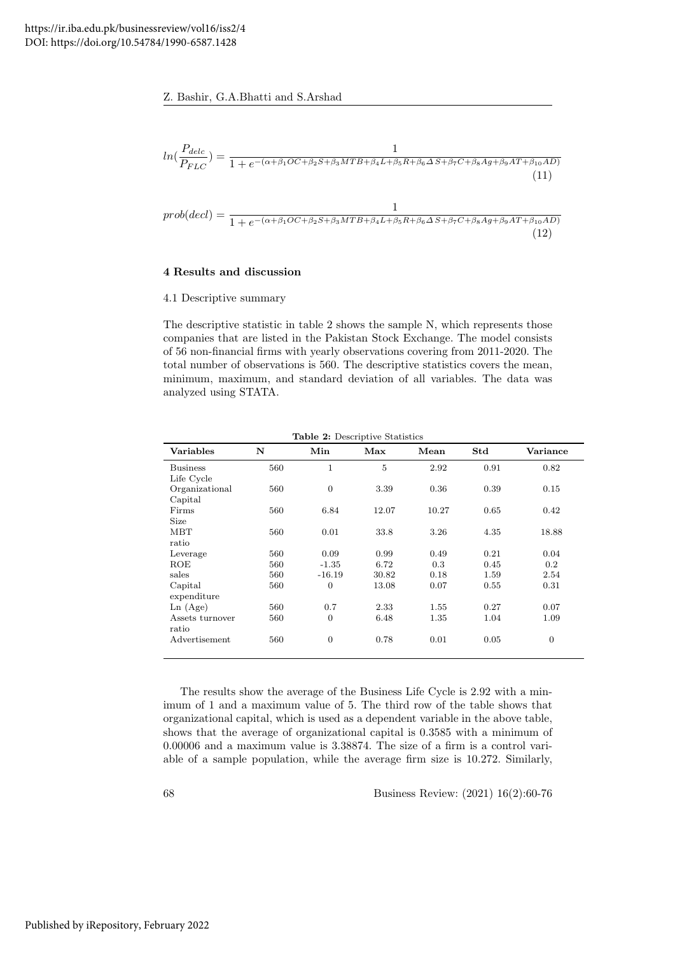



# 4 Results and discussion

# 4.1 Descriptive summary

The descriptive statistic in table 2 shows the sample N, which represents those companies that are listed in the Pakistan Stock Exchange. The model consists of 56 non-financial firms with yearly observations covering from 2011-2020. The total number of observations is 560. The descriptive statistics covers the mean, minimum, maximum, and standard deviation of all variables. The data was analyzed using STATA.

| Variables       | N   | Min              | Max   | Mean  | Std  | Variance       |
|-----------------|-----|------------------|-------|-------|------|----------------|
| <b>Business</b> | 560 | 1                | 5     | 2.92  | 0.91 | 0.82           |
| Life Cycle      |     |                  |       |       |      |                |
| Organizational  | 560 | $\boldsymbol{0}$ | 3.39  | 0.36  | 0.39 | 0.15           |
| Capital         |     |                  |       |       |      |                |
| Firms           | 560 | 6.84             | 12.07 | 10.27 | 0.65 | 0.42           |
| <b>Size</b>     |     |                  |       |       |      |                |
| <b>MBT</b>      | 560 | 0.01             | 33.8  | 3.26  | 4.35 | 18.88          |
| ratio           |     |                  |       |       |      |                |
| Leverage        | 560 | 0.09             | 0.99  | 0.49  | 0.21 | 0.04           |
| ROE             | 560 | $-1.35$          | 6.72  | 0.3   | 0.45 | 0.2            |
| sales           | 560 | $-16.19$         | 30.82 | 0.18  | 1.59 | 2.54           |
| Capital         | 560 | $\boldsymbol{0}$ | 13.08 | 0.07  | 0.55 | 0.31           |
| expenditure     |     |                  |       |       |      |                |
| Ln(Age)         | 560 | 0.7              | 2.33  | 1.55  | 0.27 | 0.07           |
| Assets turnover | 560 | $\overline{0}$   | 6.48  | 1.35  | 1.04 | 1.09           |
| ratio           |     |                  |       |       |      |                |
| Advertisement   | 560 | $\overline{0}$   | 0.78  | 0.01  | 0.05 | $\overline{0}$ |
|                 |     |                  |       |       |      |                |

Table 2: Descriptive Statistics

The results show the average of the Business Life Cycle is 2.92 with a minimum of 1 and a maximum value of 5. The third row of the table shows that organizational capital, which is used as a dependent variable in the above table, shows that the average of organizational capital is 0.3585 with a minimum of 0.00006 and a maximum value is 3.38874. The size of a firm is a control variable of a sample population, while the average firm size is 10.272. Similarly,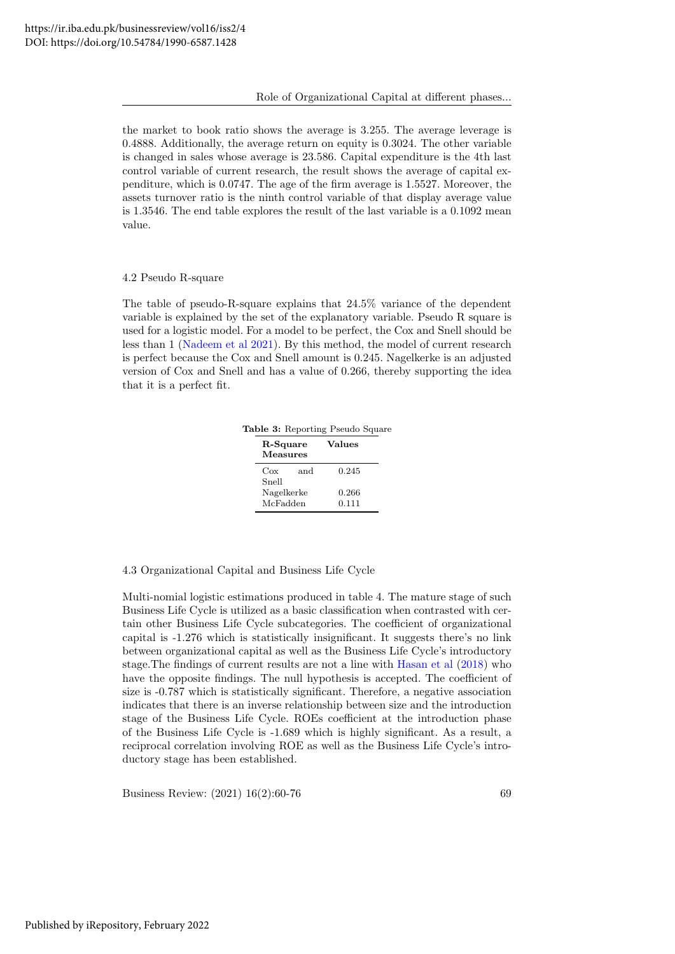the market to book ratio shows the average is 3.255. The average leverage is 0.4888. Additionally, the average return on equity is 0.3024. The other variable is changed in sales whose average is 23.586. Capital expenditure is the 4th last control variable of current research, the result shows the average of capital expenditure, which is 0.0747. The age of the firm average is 1.5527. Moreover, the assets turnover ratio is the ninth control variable of that display average value is 1.3546. The end table explores the result of the last variable is a 0.1092 mean value.

# 4.2 Pseudo R-square

The table of pseudo-R-square explains that 24.5% variance of the dependent variable is explained by the set of the explanatory variable. Pseudo R square is used for a logistic model. For a model to be perfect, the Cox and Snell should be less than 1 [\(Nadeem et al 2021\)](#page-17-10). By this method, the model of current research is perfect because the Cox and Snell amount is 0.245. Nagelkerke is an adjusted version of Cox and Snell and has a value of 0.266, thereby supporting the idea that it is a perfect fit.

Table 3: Reporting Pseudo Square

| R-Square<br><b>Measures</b> | Values         |
|-----------------------------|----------------|
| and<br>Cox<br>Snell         | 0.245          |
| Nagelkerke<br>McFadden      | 0.266<br>0.111 |

# 4.3 Organizational Capital and Business Life Cycle

Multi-nomial logistic estimations produced in table 4. The mature stage of such Business Life Cycle is utilized as a basic classification when contrasted with certain other Business Life Cycle subcategories. The coefficient of organizational capital is -1.276 which is statistically insignificant. It suggests there's no link between organizational capital as well as the Business Life Cycle's introductory stage.The findings of current results are not a line with [Hasan et al](#page-16-7) [\(2018\)](#page-16-7) who have the opposite findings. The null hypothesis is accepted. The coefficient of size is -0.787 which is statistically significant. Therefore, a negative association indicates that there is an inverse relationship between size and the introduction stage of the Business Life Cycle. ROEs coefficient at the introduction phase of the Business Life Cycle is -1.689 which is highly significant. As a result, a reciprocal correlation involving ROE as well as the Business Life Cycle's introductory stage has been established.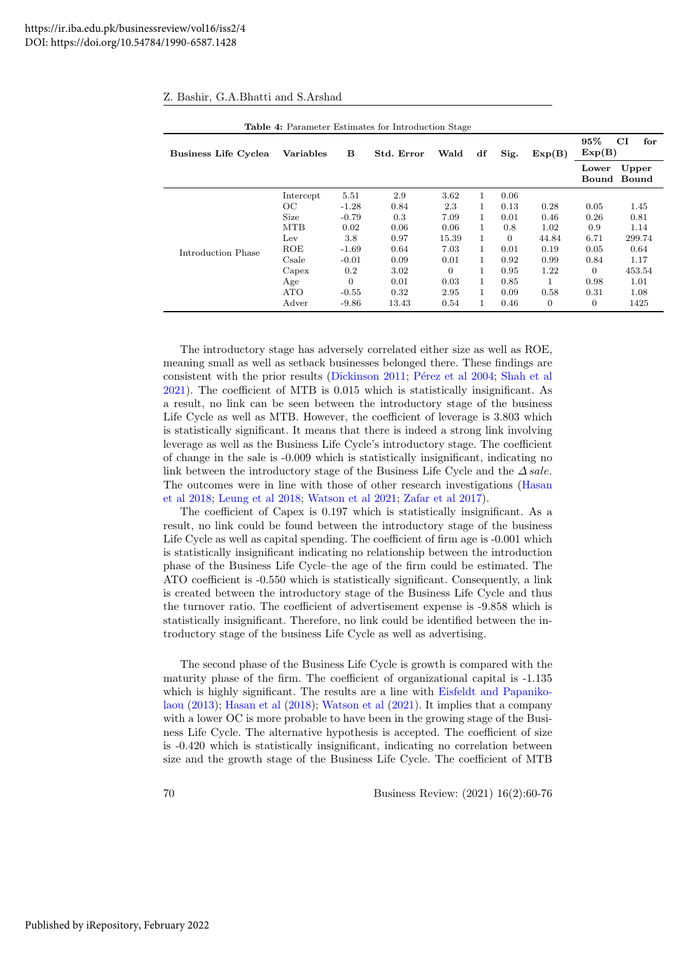|                             |            |         | Table 4: Parameter Estimates for Introduction Stage |          |              |                |          |                  |                    |
|-----------------------------|------------|---------|-----------------------------------------------------|----------|--------------|----------------|----------|------------------|--------------------|
| <b>Business Life Cyclea</b> | Variables  | в       | Std. Error                                          | Wald     | df           | Sig.           | Exp(B)   | $95\%$<br>Exp(B) | $_{\rm CI}$<br>for |
|                             |            |         |                                                     |          |              |                |          | Lower<br>Bound   | Upper<br>Bound     |
|                             | Intercept  | 5.51    | 2.9                                                 | 3.62     | 1.           | 0.06           |          |                  |                    |
|                             | OС         | $-1.28$ | 0.84                                                | 2.3      | $\mathbf{1}$ | 0.13           | 0.28     | 0.05             | 1.45               |
|                             | Size       | $-0.79$ | 0.3                                                 | 7.09     | 1.           | 0.01           | 0.46     | 0.26             | 0.81               |
|                             | <b>MTB</b> | 0.02    | 0.06                                                | 0.06     | 1.           | 0.8            | 1.02     | 0.9              | 1.14               |
|                             | Lev        | 3.8     | 0.97                                                | 15.39    |              | $\overline{0}$ | 44.84    | 6.71             | 299.74             |
| Introduction Phase          | ROE        | $-1.69$ | 0.64                                                | 7.03     | $\mathbf{1}$ | 0.01           | 0.19     | 0.05             | 0.64               |
|                             | Csale      | $-0.01$ | 0.09                                                | 0.01     | $\mathbf{1}$ | 0.92           | 0.99     | 0.84             | 1.17               |
|                             | Capex      | 0.2     | 3.02                                                | $\Omega$ | 1.           | 0.95           | 1.22     | $\overline{0}$   | 453.54             |
|                             | Age        | 0       | 0.01                                                | 0.03     | 1.           | 0.85           |          | 0.98             | 1.01               |
|                             | <b>ATO</b> | $-0.55$ | 0.32                                                | 2.95     | 1.           | 0.09           | 0.58     | 0.31             | 1.08               |
|                             | Adver      | $-9.86$ | 13.43                                               | 0.54     | $\mathbf{1}$ | 0.46           | $\theta$ | $\overline{0}$   | 1425               |

|  |  |  |  |  | Z. Bashir, G.A.Bhatti and S.Arshad |
|--|--|--|--|--|------------------------------------|
|--|--|--|--|--|------------------------------------|

The introductory stage has adversely correlated either size as well as ROE, meaning small as well as setback businesses belonged there. These findings are consistent with the prior results [\(Dickinson 2011;](#page-16-17) Pérez et al 2004; [Shah et al](#page-17-3) [2021\)](#page-17-3). The coefficient of MTB is 0.015 which is statistically insignificant. As a result, no link can be seen between the introductory stage of the business Life Cycle as well as MTB. However, the coefficient of leverage is  $3.803$  which is statistically significant. It means that there is indeed a strong link involving leverage as well as the Business Life Cycle's introductory stage. The coefficient of change in the sale is -0.009 which is statistically insignificant, indicating no link between the introductory stage of the Business Life Cycle and the  $\triangle$  sale. The outcomes were in line with those of other research investigations [\(Hasan](#page-16-7) [et al 2018;](#page-16-7) [Leung et al 2018;](#page-16-28) [Watson et al 2021;](#page-17-4) [Zafar et al 2017\)](#page-17-9).

The coefficient of Capex is 0.197 which is statistically insignificant. As a result, no link could be found between the introductory stage of the business Life Cycle as well as capital spending. The coefficient of firm age is  $-0.001$  which is statistically insignificant indicating no relationship between the introduction phase of the Business Life Cycle–the age of the firm could be estimated. The ATO coefficient is -0.550 which is statistically significant. Consequently, a link is created between the introductory stage of the Business Life Cycle and thus the turnover ratio. The coefficient of advertisement expense is -9.858 which is statistically insignificant. Therefore, no link could be identified between the introductory stage of the business Life Cycle as well as advertising.

The second phase of the Business Life Cycle is growth is compared with the maturity phase of the firm. The coefficient of organizational capital is -1.135 which is highly significant. The results are a line with [Eisfeldt and Papaniko](#page-16-5)[laou](#page-16-5) [\(2013\)](#page-16-5); [Hasan et al](#page-16-7) [\(2018\)](#page-16-7); [Watson et al](#page-17-4) [\(2021\)](#page-17-4). It implies that a company with a lower OC is more probable to have been in the growing stage of the Business Life Cycle. The alternative hypothesis is accepted. The coefficient of size is -0.420 which is statistically insignificant, indicating no correlation between size and the growth stage of the Business Life Cycle. The coefficient of MTB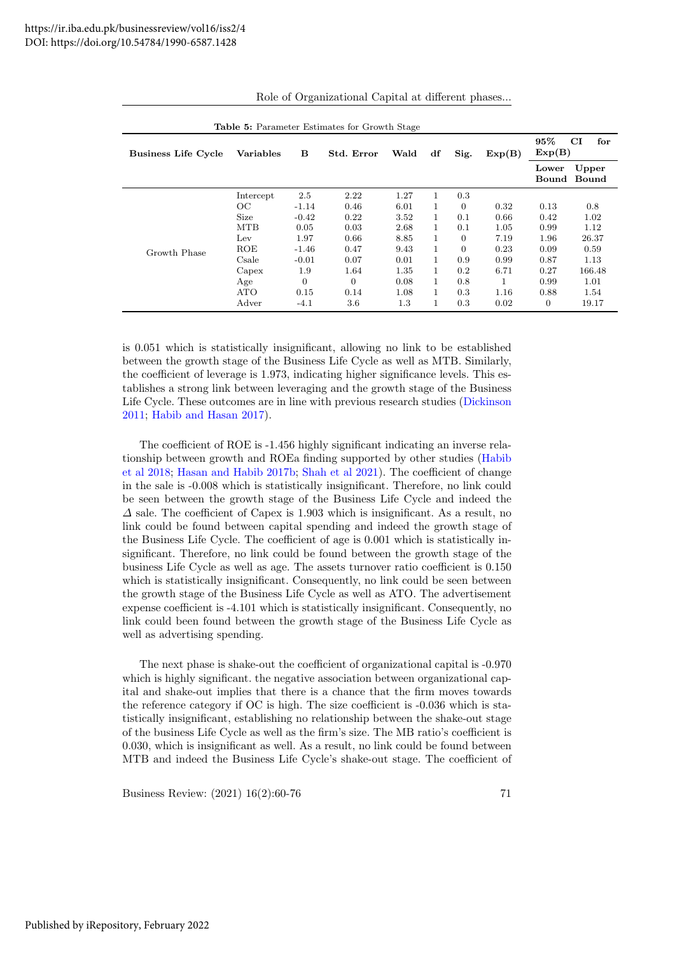| Table 5: Parameter Estimates for Growth Stage |                  |         |                |      |              |          |        |                  |                      |
|-----------------------------------------------|------------------|---------|----------------|------|--------------|----------|--------|------------------|----------------------|
| <b>Business Life Cycle</b>                    | <b>Variables</b> | в       | Std. Error     | Wald | df           | Sig.     | Exp(B) | $95\%$<br>Exp(B) | CI<br>for            |
|                                               |                  |         |                |      |              |          |        | Lower            | Upper<br>Bound Bound |
|                                               | Intercept        | 2.5     | 2.22           | 1.27 | $\mathbf{1}$ | 0.3      |        |                  |                      |
|                                               | OC               | $-1.14$ | 0.46           | 6.01 | 1.           | $\Omega$ | 0.32   | 0.13             | 0.8                  |
|                                               | Size             | $-0.42$ | 0.22           | 3.52 | $\mathbf{1}$ | 0.1      | 0.66   | 0.42             | 1.02                 |
|                                               | <b>MTB</b>       | 0.05    | 0.03           | 2.68 | $\mathbf{1}$ | 0.1      | 1.05   | 0.99             | 1.12                 |
|                                               | Lev              | 1.97    | 0.66           | 8.85 | $\mathbf{1}$ | $\Omega$ | 7.19   | 1.96             | 26.37                |
| Growth Phase                                  | ROE              | $-1.46$ | 0.47           | 9.43 | $\mathbf{1}$ | $\Omega$ | 0.23   | 0.09             | 0.59                 |
|                                               | Csale            | $-0.01$ | 0.07           | 0.01 | $\mathbf{1}$ | 0.9      | 0.99   | 0.87             | 1.13                 |
|                                               | Capex            | 1.9     | 1.64           | 1.35 | 1.           | 0.2      | 6.71   | 0.27             | 166.48               |
|                                               | Age              | 0       | $\overline{0}$ | 0.08 | 1            | 0.8      | 1      | 0.99             | 1.01                 |
|                                               | <b>ATO</b>       | 0.15    | 0.14           | 1.08 | 1            | 0.3      | 1.16   | 0.88             | 1.54                 |
|                                               | Adver            | $-4.1$  | 3.6            | 1.3  | 1            | 0.3      | 0.02   | 0                | 19.17                |

Role of Organizational Capital at different phases...

is 0.051 which is statistically insignificant, allowing no link to be established between the growth stage of the Business Life Cycle as well as MTB. Similarly, the coefficient of leverage is 1.973, indicating higher significance levels. This establishes a strong link between leveraging and the growth stage of the Business Life Cycle. These outcomes are in line with previous research studies [\(Dickinson](#page-16-17) [2011;](#page-16-17) [Habib and Hasan 2017\)](#page-16-21).

The coefficient of ROE is -1.456 highly significant indicating an inverse relationship between growth and ROEa finding supported by other studies [\(Habib](#page-16-26) [et al 2018;](#page-16-26) [Hasan and Habib 2017b;](#page-16-24) [Shah et al 2021\)](#page-17-3). The coefficient of change in the sale is -0.008 which is statistically insignificant. Therefore, no link could be seen between the growth stage of the Business Life Cycle and indeed the ∆ sale. The coefficient of Capex is 1.903 which is insignificant. As a result, no link could be found between capital spending and indeed the growth stage of the Business Life Cycle. The coefficient of age is 0.001 which is statistically insignificant. Therefore, no link could be found between the growth stage of the business Life Cycle as well as age. The assets turnover ratio coefficient is 0.150 which is statistically insignificant. Consequently, no link could be seen between the growth stage of the Business Life Cycle as well as ATO. The advertisement expense coefficient is -4.101 which is statistically insignificant. Consequently, no link could been found between the growth stage of the Business Life Cycle as well as advertising spending.

The next phase is shake-out the coefficient of organizational capital is -0.970 which is highly significant. the negative association between organizational capital and shake-out implies that there is a chance that the firm moves towards the reference category if OC is high. The size coefficient is -0.036 which is statistically insignificant, establishing no relationship between the shake-out stage of the business Life Cycle as well as the firm's size. The MB ratio's coefficient is 0.030, which is insignificant as well. As a result, no link could be found between MTB and indeed the Business Life Cycle's shake-out stage. The coefficient of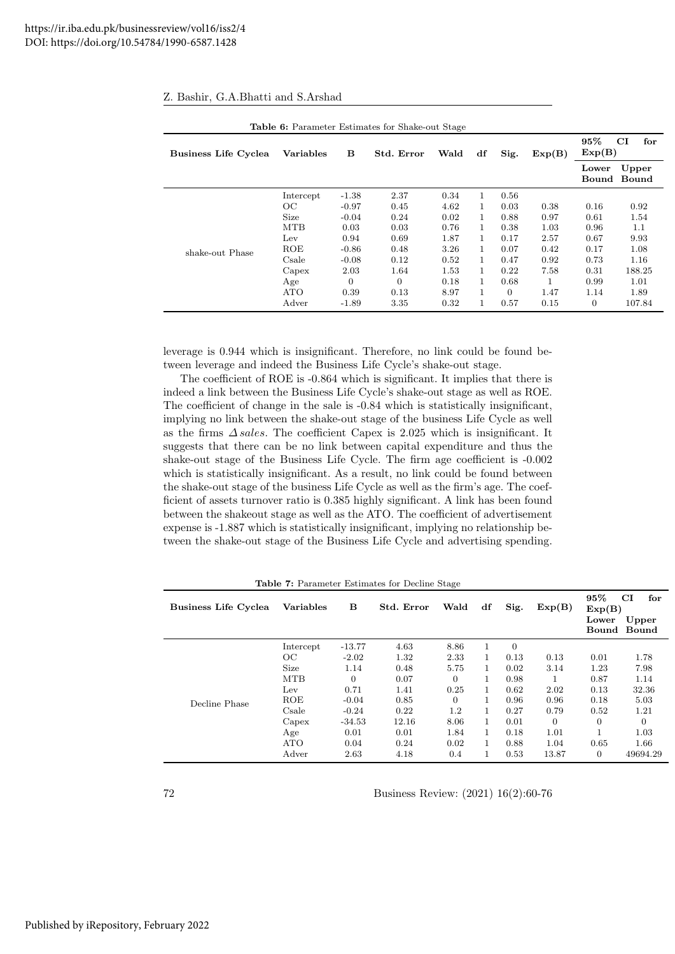| <b>Table 6:</b> Parameter Estimates for Shake-out Stage |                  |                |            |      |              |          |        |                |                |
|---------------------------------------------------------|------------------|----------------|------------|------|--------------|----------|--------|----------------|----------------|
| <b>Business Life Cyclea</b>                             | <b>Variables</b> | в              | Std. Error | Wald | df           | Sig.     | Exp(B) | 95%<br>Exp(B)  | CI<br>for      |
|                                                         |                  |                |            |      |              |          |        | Lower<br>Bound | Upper<br>Bound |
|                                                         | Intercept        | $-1.38$        | 2.37       | 0.34 | 1.           | 0.56     |        |                |                |
|                                                         | OC               | $-0.97$        | 0.45       | 4.62 | $\mathbf{1}$ | 0.03     | 0.38   | 0.16           | 0.92           |
|                                                         | Size             | $-0.04$        | 0.24       | 0.02 | 1            | 0.88     | 0.97   | 0.61           | 1.54           |
|                                                         | <b>MTB</b>       | 0.03           | 0.03       | 0.76 | $\mathbf{1}$ | 0.38     | 1.03   | 0.96           | 1.1            |
|                                                         | $_{\text{Lev}}$  | 0.94           | 0.69       | 1.87 | $\mathbf{1}$ | 0.17     | 2.57   | 0.67           | 9.93           |
| shake-out Phase                                         | ROE              | $-0.86$        | 0.48       | 3.26 | 1.           | 0.07     | 0.42   | 0.17           | 1.08           |
|                                                         | Csale            | $-0.08$        | 0.12       | 0.52 | $\mathbf{1}$ | 0.47     | 0.92   | 0.73           | 1.16           |
|                                                         | Capex            | 2.03           | 1.64       | 1.53 | $\mathbf{1}$ | 0.22     | 7.58   | 0.31           | 188.25         |
|                                                         | Age              | $\overline{0}$ | $\Omega$   | 0.18 | 1.           | 0.68     | 1      | 0.99           | 1.01           |
|                                                         | ATO              | 0.39           | 0.13       | 8.97 |              | $\Omega$ | 1.47   | 1.14           | 1.89           |
|                                                         | Adver            | $-1.89$        | 3.35       | 0.32 |              | 0.57     | 0.15   | $\overline{0}$ | 107.84         |

|  |  |  |  |  | Z. Bashir, G.A.Bhatti and S.Arshad |
|--|--|--|--|--|------------------------------------|
|--|--|--|--|--|------------------------------------|

leverage is 0.944 which is insignificant. Therefore, no link could be found between leverage and indeed the Business Life Cycle's shake-out stage.

The coefficient of ROE is -0.864 which is significant. It implies that there is indeed a link between the Business Life Cycle's shake-out stage as well as ROE. The coefficient of change in the sale is -0.84 which is statistically insignificant, implying no link between the shake-out stage of the business Life Cycle as well as the firms ∆ sales. The coefficient Capex is 2.025 which is insignificant. It suggests that there can be no link between capital expenditure and thus the shake-out stage of the Business Life Cycle. The firm age coefficient is -0.002 which is statistically insignificant. As a result, no link could be found between the shake-out stage of the business Life Cycle as well as the firm's age. The coefficient of assets turnover ratio is 0.385 highly significant. A link has been found between the shakeout stage as well as the ATO. The coefficient of advertisement expense is -1.887 which is statistically insignificant, implying no relationship between the shake-out stage of the Business Life Cycle and advertising spending.

|  | Table 7: Parameter Estimates for Decline Stage |  |  |  |  |
|--|------------------------------------------------|--|--|--|--|
|--|------------------------------------------------|--|--|--|--|

| <b>Business Life Cyclea</b> | <b>Variables</b> | в              | Std. Error | Wald     | df           | Sig.         | Exp(B)         | 95%<br>Exp(B)<br>Lower | CI<br>for<br>Upper<br>Bound Bound |
|-----------------------------|------------------|----------------|------------|----------|--------------|--------------|----------------|------------------------|-----------------------------------|
|                             | Intercept        | $-13.77$       | 4.63       | 8.86     | 1            | $\mathbf{0}$ |                |                        |                                   |
|                             | OC               | $-2.02$        | 1.32       | 2.33     | 1            | 0.13         | 0.13           | 0.01                   | 1.78                              |
|                             | Size             | 1.14           | 0.48       | 5.75     | 1.           | 0.02         | 3.14           | 1.23                   | 7.98                              |
|                             | <b>MTB</b>       | $\overline{0}$ | 0.07       | $\theta$ |              | 0.98         | 1              | 0.87                   | 1.14                              |
|                             | Lev              | 0.71           | 1.41       | 0.25     | 1            | 0.62         | 2.02           | 0.13                   | 32.36                             |
| Decline Phase               | ROE              | $-0.04$        | 0.85       | $\Omega$ |              | 0.96         | 0.96           | 0.18                   | 5.03                              |
|                             | Csale            | $-0.24$        | 0.22       | 1.2      | 1            | 0.27         | 0.79           | 0.52                   | 1.21                              |
|                             | Capex            | $-34.53$       | 12.16      | 8.06     | 1            | 0.01         | $\overline{0}$ | $\overline{0}$         | $\overline{0}$                    |
|                             | Age              | 0.01           | 0.01       | 1.84     | $\mathbf{1}$ | 0.18         | 1.01           |                        | 1.03                              |
|                             | <b>ATO</b>       | 0.04           | 0.24       | 0.02     |              | 0.88         | 1.04           | 0.65                   | 1.66                              |
|                             | Adver            | 2.63           | 4.18       | 0.4      |              | 0.53         | 13.87          | $\overline{0}$         | 49694.29                          |

72 Business Review: (2021) 16(2):60-76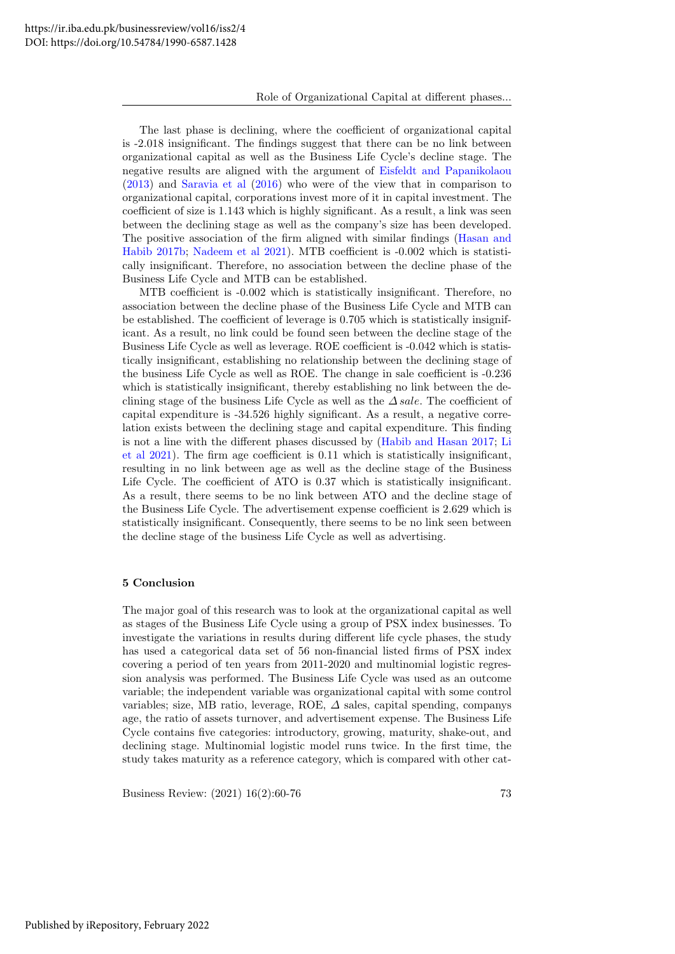The last phase is declining, where the coefficient of organizational capital is -2.018 insignificant. The findings suggest that there can be no link between organizational capital as well as the Business Life Cycle's decline stage. The negative results are aligned with the argument of [Eisfeldt and Papanikolaou](#page-16-5) [\(2013\)](#page-16-5) and [Saravia et al](#page-17-8) [\(2016\)](#page-17-8) who were of the view that in comparison to organizational capital, corporations invest more of it in capital investment. The coefficient of size is 1.143 which is highly significant. As a result, a link was seen between the declining stage as well as the company's size has been developed. The positive association of the firm aligned with similar findings [\(Hasan and](#page-16-24) [Habib 2017b;](#page-16-24) [Nadeem et al 2021\)](#page-17-10). MTB coefficient is -0.002 which is statistically insignificant. Therefore, no association between the decline phase of the Business Life Cycle and MTB can be established.

MTB coefficient is -0.002 which is statistically insignificant. Therefore, no association between the decline phase of the Business Life Cycle and MTB can be established. The coefficient of leverage is 0.705 which is statistically insignificant. As a result, no link could be found seen between the decline stage of the Business Life Cycle as well as leverage. ROE coefficient is -0.042 which is statistically insignificant, establishing no relationship between the declining stage of the business Life Cycle as well as ROE. The change in sale coefficient is -0.236 which is statistically insignificant, thereby establishing no link between the declining stage of the business Life Cycle as well as the  $\triangle$  sale. The coefficient of capital expenditure is -34.526 highly significant. As a result, a negative correlation exists between the declining stage and capital expenditure. This finding is not a line with the different phases discussed by [\(Habib and Hasan 2017;](#page-16-21) [Li](#page-17-6) [et al 2021\)](#page-17-6). The firm age coefficient is 0.11 which is statistically insignificant, resulting in no link between age as well as the decline stage of the Business Life Cycle. The coefficient of ATO is 0.37 which is statistically insignificant. As a result, there seems to be no link between ATO and the decline stage of the Business Life Cycle. The advertisement expense coefficient is 2.629 which is statistically insignificant. Consequently, there seems to be no link seen between the decline stage of the business Life Cycle as well as advertising.

# 5 Conclusion

The major goal of this research was to look at the organizational capital as well as stages of the Business Life Cycle using a group of PSX index businesses. To investigate the variations in results during different life cycle phases, the study has used a categorical data set of 56 non-financial listed firms of PSX index covering a period of ten years from 2011-2020 and multinomial logistic regression analysis was performed. The Business Life Cycle was used as an outcome variable; the independent variable was organizational capital with some control variables; size, MB ratio, leverage, ROE,  $\Delta$  sales, capital spending, companys age, the ratio of assets turnover, and advertisement expense. The Business Life Cycle contains five categories: introductory, growing, maturity, shake-out, and declining stage. Multinomial logistic model runs twice. In the first time, the study takes maturity as a reference category, which is compared with other cat-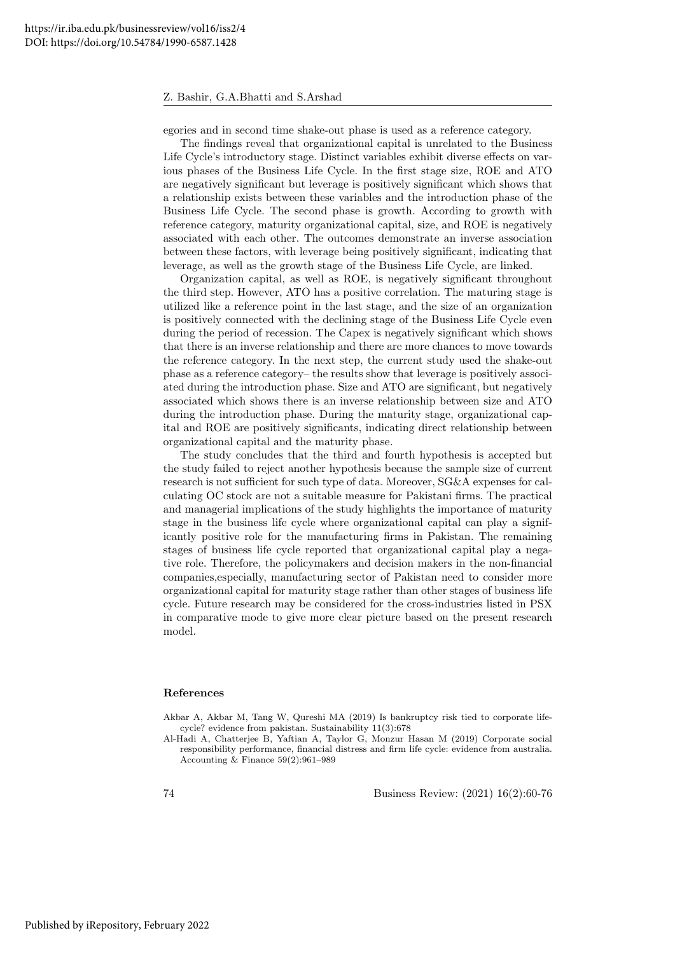egories and in second time shake-out phase is used as a reference category.

The findings reveal that organizational capital is unrelated to the Business Life Cycle's introductory stage. Distinct variables exhibit diverse effects on various phases of the Business Life Cycle. In the first stage size, ROE and ATO are negatively significant but leverage is positively significant which shows that a relationship exists between these variables and the introduction phase of the Business Life Cycle. The second phase is growth. According to growth with reference category, maturity organizational capital, size, and ROE is negatively associated with each other. The outcomes demonstrate an inverse association between these factors, with leverage being positively significant, indicating that leverage, as well as the growth stage of the Business Life Cycle, are linked.

Organization capital, as well as ROE, is negatively significant throughout the third step. However, ATO has a positive correlation. The maturing stage is utilized like a reference point in the last stage, and the size of an organization is positively connected with the declining stage of the Business Life Cycle even during the period of recession. The Capex is negatively significant which shows that there is an inverse relationship and there are more chances to move towards the reference category. In the next step, the current study used the shake-out phase as a reference category– the results show that leverage is positively associated during the introduction phase. Size and ATO are significant, but negatively associated which shows there is an inverse relationship between size and ATO during the introduction phase. During the maturity stage, organizational capital and ROE are positively significants, indicating direct relationship between organizational capital and the maturity phase.

The study concludes that the third and fourth hypothesis is accepted but the study failed to reject another hypothesis because the sample size of current research is not sufficient for such type of data. Moreover, SG&A expenses for calculating OC stock are not a suitable measure for Pakistani firms. The practical and managerial implications of the study highlights the importance of maturity stage in the business life cycle where organizational capital can play a significantly positive role for the manufacturing firms in Pakistan. The remaining stages of business life cycle reported that organizational capital play a negative role. Therefore, the policymakers and decision makers in the non-financial companies,especially, manufacturing sector of Pakistan need to consider more organizational capital for maturity stage rather than other stages of business life cycle. Future research may be considered for the cross-industries listed in PSX in comparative mode to give more clear picture based on the present research model.

## References

<span id="page-15-0"></span>Akbar A, Akbar M, Tang W, Qureshi MA (2019) Is bankruptcy risk tied to corporate lifecycle? evidence from pakistan. Sustainability 11(3):678

<span id="page-15-1"></span>Al-Hadi A, Chatterjee B, Yaftian A, Taylor G, Monzur Hasan M (2019) Corporate social responsibility performance, financial distress and firm life cycle: evidence from australia. Accounting & Finance 59(2):961–989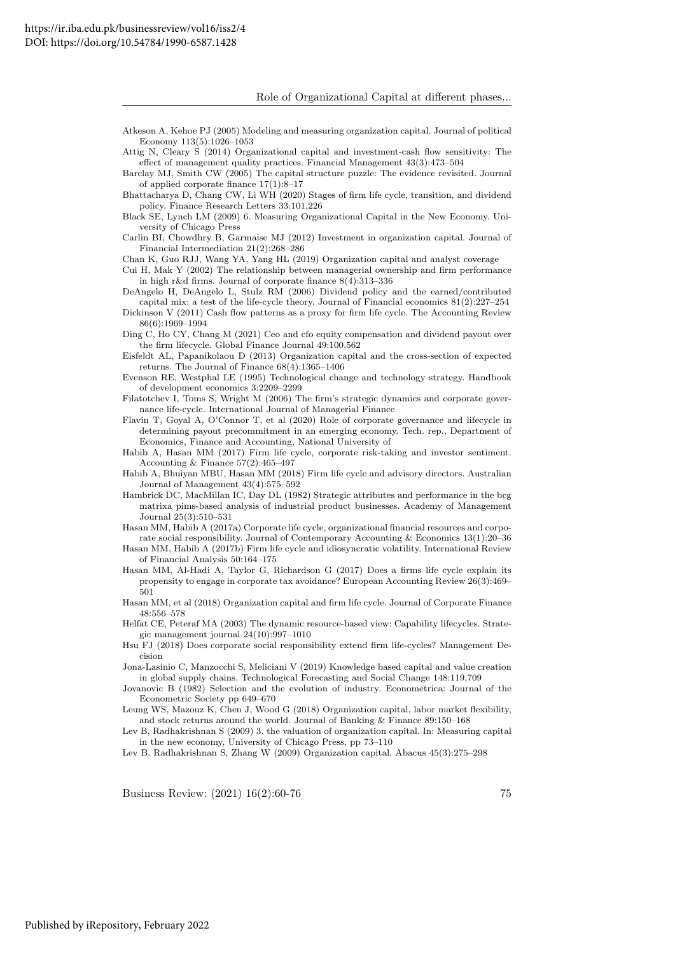Role of Organizational Capital at different phases...

<span id="page-16-6"></span>Atkeson A, Kehoe PJ (2005) Modeling and measuring organization capital. Journal of political Economy 113(5):1026–1053

<span id="page-16-20"></span>Attig N, Cleary S (2014) Organizational capital and investment-cash flow sensitivity: The effect of management quality practices. Financial Management 43(3):473–504

<span id="page-16-0"></span>Barclay MJ, Smith CW (2005) The capital structure puzzle: The evidence revisited. Journal of applied corporate finance 17(1):8–17

<span id="page-16-14"></span>Bhattacharya D, Chang CW, Li WH (2020) Stages of firm life cycle, transition, and dividend policy. Finance Research Letters 33:101,226

<span id="page-16-4"></span>Black SE, Lynch LM (2009) 6. Measuring Organizational Capital in the New Economy. University of Chicago Press

<span id="page-16-18"></span>Carlin BI, Chowdhry B, Garmaise MJ (2012) Investment in organization capital. Journal of Financial Intermediation 21(2):268–286

<span id="page-16-11"></span>Chan K, Guo RJJ, Wang YA, Yang HL (2019) Organization capital and analyst coverage

<span id="page-16-19"></span>Cui H, Mak Y (2002) The relationship between managerial ownership and firm performance in high r&d firms. Journal of corporate finance 8(4):313–336

<span id="page-16-22"></span>DeAngelo H, DeAngelo L, Stulz RM (2006) Dividend policy and the earned/contributed capital mix: a test of the life-cycle theory. Journal of Financial economics 81(2):227–254

<span id="page-16-17"></span>Dickinson V (2011) Cash flow patterns as a proxy for firm life cycle. The Accounting Review 86(6):1969–1994

<span id="page-16-9"></span>Ding C, Ho CY, Chang M (2021) Ceo and cfo equity compensation and dividend payout over the firm lifecycle. Global Finance Journal 49:100,562

<span id="page-16-5"></span>Eisfeldt AL, Papanikolaou D (2013) Organization capital and the cross-section of expected returns. The Journal of Finance 68(4):1365–1406

<span id="page-16-2"></span>Evenson RE, Westphal LE (1995) Technological change and technology strategy. Handbook of development economics 3:2209–2299

<span id="page-16-1"></span>Filatotchev I, Toms S, Wright M (2006) The firm's strategic dynamics and corporate governance life-cycle. International Journal of Managerial Finance

<span id="page-16-8"></span>Flavin T, Goyal A, O'Connor T, et al (2020) Role of corporate governance and lifecycle in determining payout precommitment in an emerging economy. Tech. rep., Department of Economics, Finance and Accounting, National University of

<span id="page-16-21"></span>Habib A, Hasan MM (2017) Firm life cycle, corporate risk-taking and investor sentiment. Accounting & Finance 57(2):465–497

<span id="page-16-26"></span>Habib A, Bhuiyan MBU, Hasan MM (2018) Firm life cycle and advisory directors. Australian Journal of Management 43(4):575–592

<span id="page-16-15"></span>Hambrick DC, MacMillan IC, Day DL (1982) Strategic attributes and performance in the bcg matrixa pims-based analysis of industrial product businesses. Academy of Management Journal 25(3):510–531

<span id="page-16-23"></span>Hasan MM, Habib A (2017a) Corporate life cycle, organizational financial resources and corporate social responsibility. Journal of Contemporary Accounting & Economics 13(1):20–36

<span id="page-16-24"></span>Hasan MM, Habib A (2017b) Firm life cycle and idiosyncratic volatility. International Review of Financial Analysis 50:164–175

- <span id="page-16-25"></span>Hasan MM, Al-Hadi A, Taylor G, Richardson G (2017) Does a firms life cycle explain its propensity to engage in corporate tax avoidance? European Accounting Review 26(3):469– 501
- <span id="page-16-7"></span>Hasan MM, et al (2018) Organization capital and firm life cycle. Journal of Corporate Finance 48:556–578

<span id="page-16-13"></span>Helfat CE, Peteraf MA (2003) The dynamic resource-based view: Capability lifecycles. Strategic management journal 24(10):997–1010

<span id="page-16-27"></span>Hsu FJ (2018) Does corporate social responsibility extend firm life-cycles? Management Decision

<span id="page-16-12"></span>Jona-Lasinio C, Manzocchi S, Meliciani V (2019) Knowledge based capital and value creation in global supply chains. Technological Forecasting and Social Change 148:119,709

<span id="page-16-16"></span>Jovanovic B (1982) Selection and the evolution of industry. Econometrica: Journal of the Econometric Society pp 649–670

<span id="page-16-28"></span>Leung WS, Mazouz K, Chen J, Wood G (2018) Organization capital, labor market flexibility, and stock returns around the world. Journal of Banking & Finance 89:150–168

<span id="page-16-10"></span>Lev B, Radhakrishnan S (2009) 3. the valuation of organization capital. In: Measuring capital in the new economy, University of Chicago Press, pp 73–110

<span id="page-16-3"></span>Lev B, Radhakrishnan S, Zhang W (2009) Organization capital. Abacus 45(3):275–298